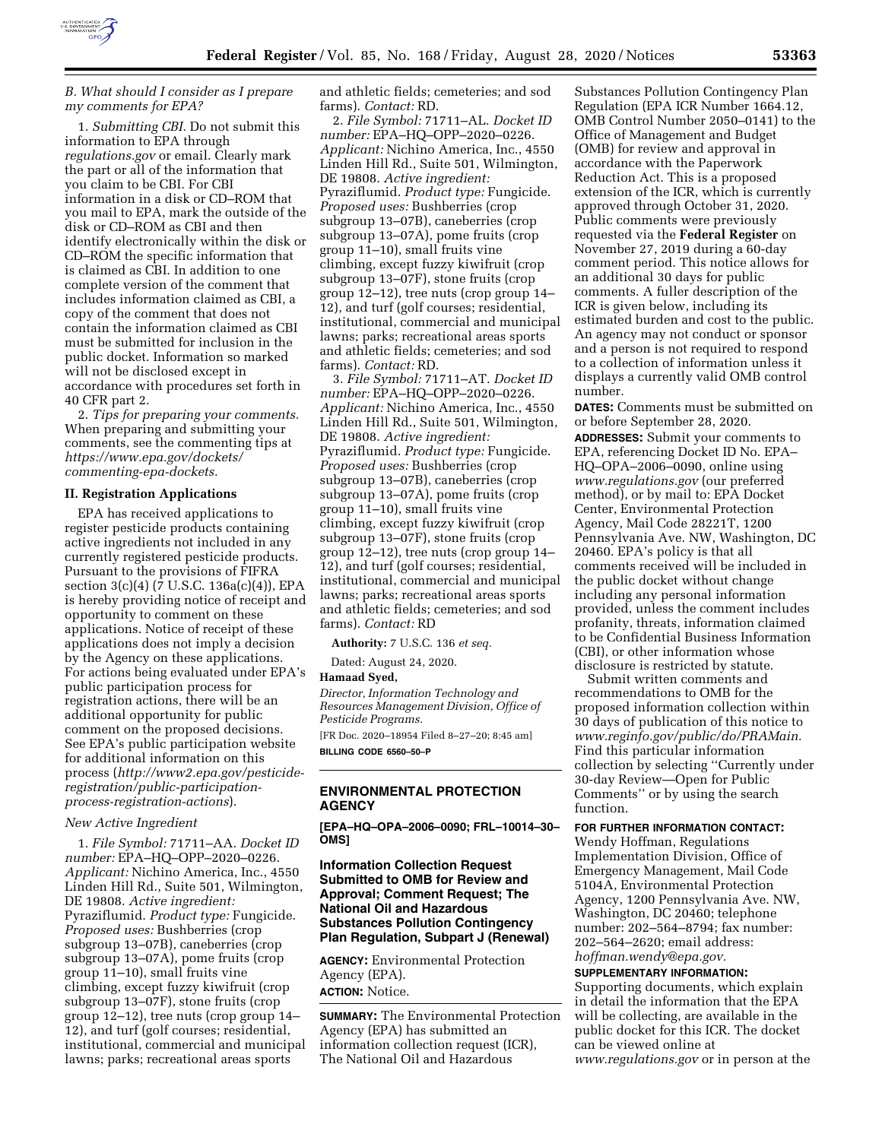

# *B. What should I consider as I prepare my comments for EPA?*

1. *Submitting CBI.* Do not submit this information to EPA through *regulations.gov* or email. Clearly mark the part or all of the information that you claim to be CBI. For CBI information in a disk or CD–ROM that you mail to EPA, mark the outside of the disk or CD–ROM as CBI and then identify electronically within the disk or CD–ROM the specific information that is claimed as CBI. In addition to one complete version of the comment that includes information claimed as CBI, a copy of the comment that does not contain the information claimed as CBI must be submitted for inclusion in the public docket. Information so marked will not be disclosed except in accordance with procedures set forth in 40 CFR part 2.

2. *Tips for preparing your comments.*  When preparing and submitting your comments, see the commenting tips at *[https://www.epa.gov/dockets/](https://www.epa.gov/dockets/commenting-epa-dockets)  [commenting-epa-dockets.](https://www.epa.gov/dockets/commenting-epa-dockets)* 

### **II. Registration Applications**

EPA has received applications to register pesticide products containing active ingredients not included in any currently registered pesticide products. Pursuant to the provisions of FIFRA section 3(c)(4) (7 U.S.C. 136a(c)(4)), EPA is hereby providing notice of receipt and opportunity to comment on these applications. Notice of receipt of these applications does not imply a decision by the Agency on these applications. For actions being evaluated under EPA's public participation process for registration actions, there will be an additional opportunity for public comment on the proposed decisions. See EPA's public participation website for additional information on this process (*[http://www2.epa.gov/pesticide](http://www2.epa.gov/pesticide-registration/public-participation-process-registration-actions)[registration/public-participation](http://www2.epa.gov/pesticide-registration/public-participation-process-registration-actions)[process-registration-actions](http://www2.epa.gov/pesticide-registration/public-participation-process-registration-actions)*).

### *New Active Ingredient*

1. *File Symbol:* 71711–AA. *Docket ID number:* EPA–HQ–OPP–2020–0226. *Applicant:* Nichino America, Inc., 4550 Linden Hill Rd., Suite 501, Wilmington, DE 19808. *Active ingredient:*  Pyraziflumid. *Product type:* Fungicide. *Proposed uses:* Bushberries (crop subgroup 13–07B), caneberries (crop subgroup 13–07A), pome fruits (crop group 11–10), small fruits vine climbing, except fuzzy kiwifruit (crop subgroup 13–07F), stone fruits (crop group 12–12), tree nuts (crop group 14– 12), and turf (golf courses; residential, institutional, commercial and municipal lawns; parks; recreational areas sports

and athletic fields; cemeteries; and sod farms). *Contact:* RD.

2. *File Symbol:* 71711–AL. *Docket ID number:* EPA–HQ–OPP–2020–0226. *Applicant:* Nichino America, Inc., 4550 Linden Hill Rd., Suite 501, Wilmington, DE 19808. *Active ingredient:*  Pyraziflumid. *Product type:* Fungicide. *Proposed uses:* Bushberries (crop subgroup 13–07B), caneberries (crop subgroup 13–07A), pome fruits (crop group 11–10), small fruits vine climbing, except fuzzy kiwifruit (crop subgroup 13–07F), stone fruits (crop group 12–12), tree nuts (crop group 14– 12), and turf (golf courses; residential, institutional, commercial and municipal lawns; parks; recreational areas sports and athletic fields; cemeteries; and sod farms). *Contact:* RD.

3. *File Symbol:* 71711–AT. *Docket ID number:* EPA–HQ–OPP–2020–0226. *Applicant:* Nichino America, Inc., 4550 Linden Hill Rd., Suite 501, Wilmington, DE 19808. *Active ingredient:*  Pyraziflumid. *Product type:* Fungicide. *Proposed uses:* Bushberries (crop subgroup 13–07B), caneberries (crop subgroup 13–07A), pome fruits (crop group 11–10), small fruits vine climbing, except fuzzy kiwifruit (crop subgroup 13–07F), stone fruits (crop group 12–12), tree nuts (crop group 14– 12), and turf (golf courses; residential, institutional, commercial and municipal lawns; parks; recreational areas sports and athletic fields; cemeteries; and sod farms). *Contact:* RD

**Authority:** 7 U.S.C. 136 *et seq.* 

Dated: August 24, 2020.

### **Hamaad Syed,**

*Director, Information Technology and Resources Management Division, Office of Pesticide Programs.* 

[FR Doc. 2020–18954 Filed 8–27–20; 8:45 am] **BILLING CODE 6560–50–P** 

# **ENVIRONMENTAL PROTECTION AGENCY**

**[EPA–HQ–OPA–2006–0090; FRL–10014–30– OMS]** 

# **Information Collection Request Submitted to OMB for Review and Approval; Comment Request; The National Oil and Hazardous Substances Pollution Contingency Plan Regulation, Subpart J (Renewal)**

**AGENCY:** Environmental Protection Agency (EPA). **ACTION:** Notice.

**SUMMARY:** The Environmental Protection Agency (EPA) has submitted an information collection request (ICR), The National Oil and Hazardous

Substances Pollution Contingency Plan Regulation (EPA ICR Number 1664.12, OMB Control Number 2050–0141) to the Office of Management and Budget (OMB) for review and approval in accordance with the Paperwork Reduction Act. This is a proposed extension of the ICR, which is currently approved through October 31, 2020. Public comments were previously requested via the **Federal Register** on November 27, 2019 during a 60-day comment period. This notice allows for an additional 30 days for public comments. A fuller description of the ICR is given below, including its estimated burden and cost to the public. An agency may not conduct or sponsor and a person is not required to respond to a collection of information unless it displays a currently valid OMB control number.

**DATES:** Comments must be submitted on or before September 28, 2020.

**ADDRESSES:** Submit your comments to EPA, referencing Docket ID No. EPA– HQ–OPA–2006–0090, online using *[www.regulations.gov](http://www.regulations.gov)* (our preferred method), or by mail to: EPA Docket Center, Environmental Protection Agency, Mail Code 28221T, 1200 Pennsylvania Ave. NW, Washington, DC 20460. EPA's policy is that all comments received will be included in the public docket without change including any personal information provided, unless the comment includes profanity, threats, information claimed to be Confidential Business Information (CBI), or other information whose disclosure is restricted by statute.

Submit written comments and recommendations to OMB for the proposed information collection within 30 days of publication of this notice to *[www.reginfo.gov/public/do/PRAMain.](http://www.reginfo.gov/public/do/PRAMain)*  Find this particular information collection by selecting ''Currently under 30-day Review—Open for Public Comments'' or by using the search function.

#### **FOR FURTHER INFORMATION CONTACT:**

Wendy Hoffman, Regulations Implementation Division, Office of Emergency Management, Mail Code 5104A, Environmental Protection Agency, 1200 Pennsylvania Ave. NW, Washington, DC 20460; telephone number: 202–564–8794; fax number: 202–564–2620; email address: *[hoffman.wendy@epa.gov.](mailto:hoffman.wendy@epa.gov)* 

### **SUPPLEMENTARY INFORMATION:**

Supporting documents, which explain in detail the information that the EPA will be collecting, are available in the public docket for this ICR. The docket can be viewed online at *[www.regulations.gov](http://www.regulations.gov)* or in person at the